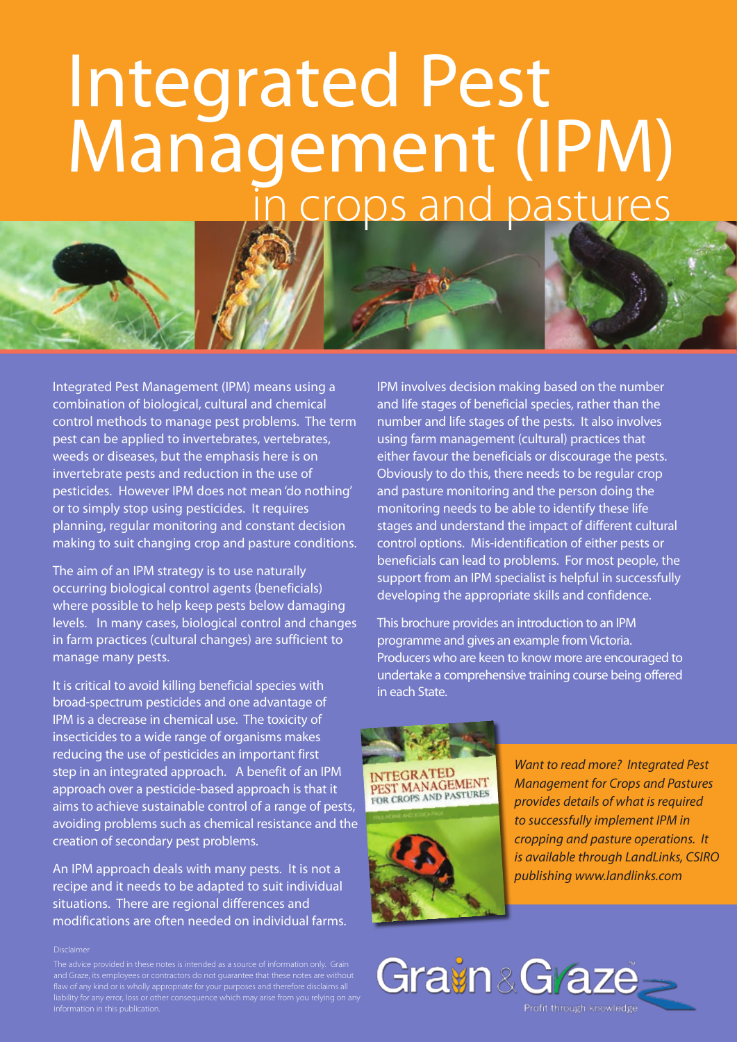# Integrated Pest Management (IPM) in crops and pastures



The aim of an IPM strategy is to use naturally occurring biological control agents (beneficials) where possible to help keep pests below damaging levels. In many cases, biological control and changes in farm practices (cultural changes) are sufficient to manage many pests.

It is critical to avoid killing beneficial species with broad-spectrum pesticides and one advantage of IPM is a decrease in chemical use. The toxicity of insecticides to a wide range of organisms makes reducing the use of pesticides an important first step in an integrated approach. A benefit of an IPM approach over a pesticide-based approach is that it aims to achieve sustainable control of a range of pests, avoiding problems such as chemical resistance and the creation of secondary pest problems.

An IPM approach deals with many pests. It is not a recipe and it needs to be adapted to suit individual situations. There are regional differences and modifications are often needed on individual farms.

#### Disclaimer

flaw of any kind or is wholly appropriate for your purposes and therefore disclaims all liability for any error, loss or other consequence which may arise from you relying on any IPM involves decision making based on the number and life stages of beneficial species, rather than the number and life stages of the pests. It also involves using farm management (cultural) practices that either favour the beneficials or discourage the pests. Obviously to do this, there needs to be regular crop and pasture monitoring and the person doing the monitoring needs to be able to identify these life stages and understand the impact of different cultural control options. Mis-identification of either pests or beneficials can lead to problems. For most people, the support from an IPM specialist is helpful in successfully developing the appropriate skills and confidence.

This brochure provides an introduction to an IPM programme and gives an example from Victoria. Producers who are keen to know more are encouraged to undertake a comprehensive training course being offered in each State.



*Want to read more? Integrated Pest Management for Crops and Pastures provides details of what is required to successfully implement IPM in cropping and pasture operations. It is available through LandLinks, CSIRO publishing www.landlinks.com* 

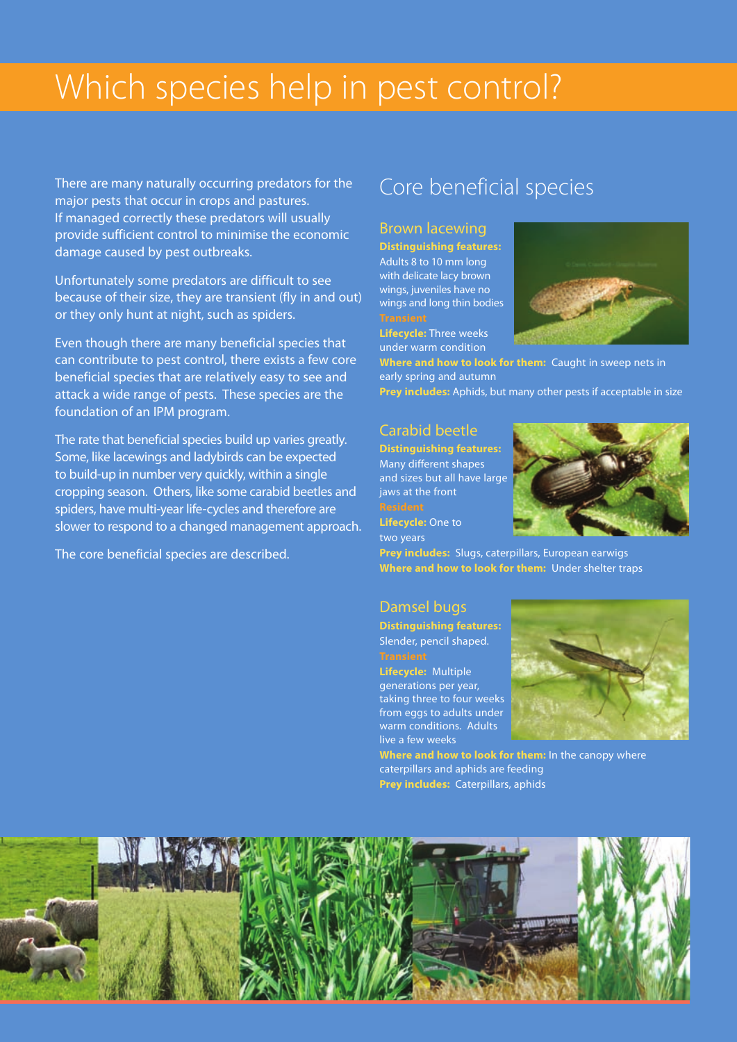## Which species help in pest control?

There are many naturally occurring predators for the major pests that occur in crops and pastures. If managed correctly these predators will usually provide sufficient control to minimise the economic damage caused by pest outbreaks.

Unfortunately some predators are difficult to see because of their size, they are transient (fly in and out) or they only hunt at night, such as spiders.

Even though there are many beneficial species that can contribute to pest control, there exists a few core beneficial species that are relatively easy to see and attack a wide range of pests. These species are the foundation of an IPM program.

The rate that beneficial species build up varies greatly. Some, like lacewings and ladybirds can be expected to build-up in number very quickly, within a single cropping season. Others, like some carabid beetles and spiders, have multi-year life-cycles and therefore are slower to respond to a changed management approach.

The core beneficial species are described.

### Core beneficial species

#### Brown lacewing

**Distinguishing features:** Adults 8 to 10 mm long with delicate lacy brown wings, juveniles have no wings and long thin bodies

**Lifecycle:** Three weeks under warm condition



**Where and how to look for them:** Caught in sweep nets in early spring and autumn **Prey includes:** Aphids, but many other pests if acceptable in size

#### Carabid beetle

**Distinguishing features:** Many different shapes and sizes but all have large jaws at the front

**Lifecycle:** One to two years

**Prey includes:** Slugs, caterpillars, European earwigs **Where and how to look for them:** Under shelter traps

#### Damsel bugs

**Distinguishing features:** Slender, pencil shaped.

**Lifecycle:** Multiple generations per year, taking three to four weeks from eggs to adults under warm conditions. Adults live a few weeks



**Where and how to look for them:** In the canopy where caterpillars and aphids are feeding **Prey includes:** Caterpillars, aphids

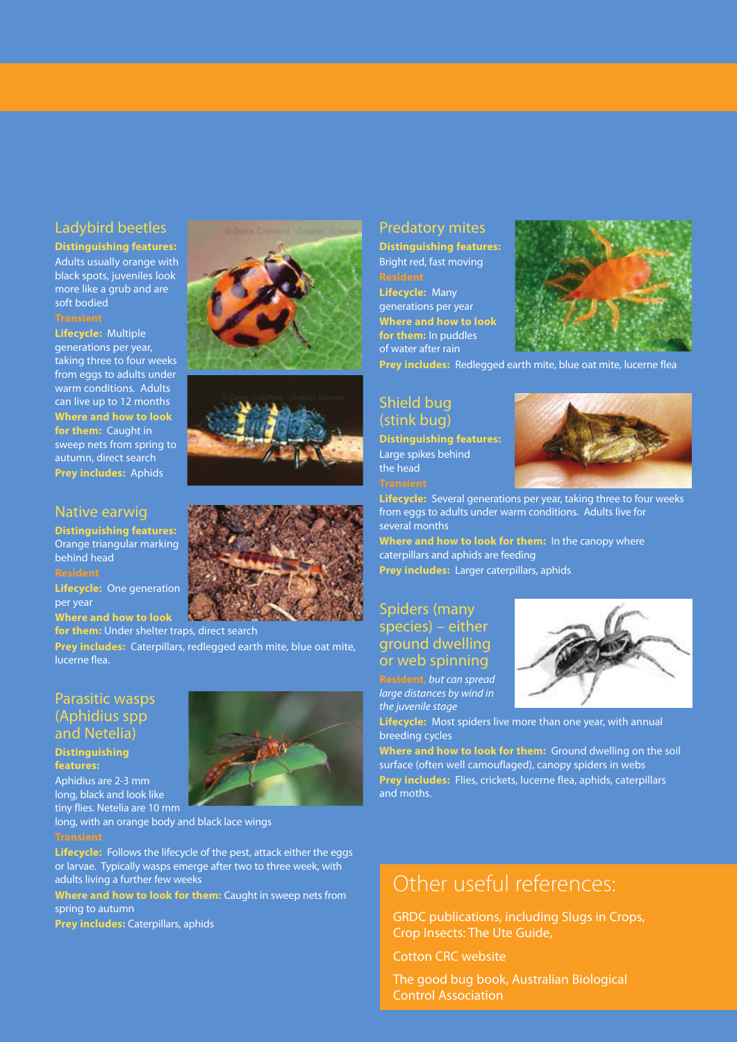#### Ladybird beetles

#### **Distinguishing features:**

Adults usually orange with black spots, juveniles look more like a grub and are soft bodied

**Lifecycle:** Multiple generations per year, taking three to four weeks from eggs to adults under warm conditions. Adults can live up to 12 months **Where and how to look for them:** Caught in sweep nets from spring to autumn, direct search **Prey includes:** Aphids

#### Native earwig

**Distinguishing features:** Orange triangular marking behind head

**Lifecycle:** One generation per year

**Where and how to look** 

**for them:** Under shelter traps, direct search **Prey includes:** Caterpillars, redlegged earth mite, blue oat mite, lucerne flea.

#### Parasitic wasps (Aphidius spp and Netelia)

#### **Distinguishing features:**

Aphidius are 2-3 mm long, black and look like tiny flies. Netelia are 10 mm

long, with an orange body and black lace wings

**Lifecycle:** Follows the lifecycle of the pest, attack either the eggs or larvae. Typically wasps emerge after two to three week, with adults living a further few weeks

**Where and how to look for them:** Caught in sweep nets from spring to autumn

**Prey includes:** Caterpillars, aphids







**for them:** In puddles of water after rain

**Lifecycle:** Many generations per year



**Prey includes:** Redlegged earth mite, blue oat mite, lucerne flea

#### Shield bug (stink bug)

**Distinguishing features:** Large spikes behind the head



**Lifecycle:** Several generations per year, taking three to four weeks from eggs to adults under warm conditions. Adults live for several months

**Where and how to look for them:** In the canopy where caterpillars and aphids are feeding **Prey includes:** Larger caterpillars, aphids

#### Spiders (many species) – either ground dwelling or web spinning

**Resident,** *but can spread large distances by wind in the juvenile stage*



**Lifecycle:** Most spiders live more than one year, with annual breeding cycles

**Where and how to look for them:** Ground dwelling on the soil surface (often well camouflaged), canopy spiders in webs **Prey includes:** Flies, crickets, lucerne flea, aphids, caterpillars and moths.

### Other useful references:

GRDC publications, including Slugs in Crops, Crop Insects: The Ute Guide,

Cotton CRC website

The good bug book, Australian Biological Control Association

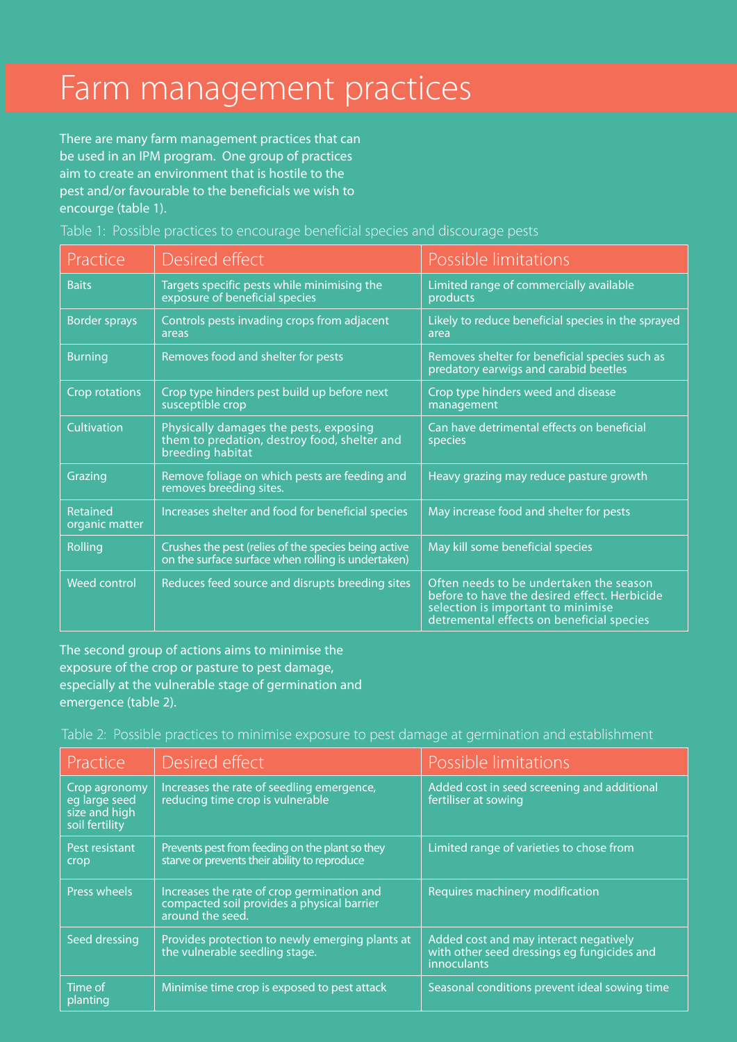## Farm management practices

There are many farm management practices that can be used in an IPM program. One group of practices aim to create an environment that is hostile to the pest and/or favourable to the beneficials we wish to encourge (table 1).

Table 1: Possible practices to encourage beneficial species and discourage pests

| Practice                   | Desired effect                                                                                             | Possible limitations                                                                                                                                                       |
|----------------------------|------------------------------------------------------------------------------------------------------------|----------------------------------------------------------------------------------------------------------------------------------------------------------------------------|
| <b>Baits</b>               | Targets specific pests while minimising the<br>exposure of beneficial species                              | Limited range of commercially available<br>products                                                                                                                        |
| <b>Border sprays</b>       | Controls pests invading crops from adjacent<br>areas                                                       | Likely to reduce beneficial species in the sprayed<br>area                                                                                                                 |
| <b>Burning</b>             | Removes food and shelter for pests                                                                         | Removes shelter for beneficial species such as<br>predatory earwigs and carabid beetles                                                                                    |
| <b>Crop rotations</b>      | Crop type hinders pest build up before next<br>susceptible crop                                            | Crop type hinders weed and disease<br>management                                                                                                                           |
| Cultivation                | Physically damages the pests, exposing<br>them to predation, destroy food, shelter and<br>breeding habitat | Can have detrimental effects on beneficial<br>species                                                                                                                      |
| Grazing                    | Remove foliage on which pests are feeding and<br>removes breeding sites.                                   | Heavy grazing may reduce pasture growth                                                                                                                                    |
| Retained<br>organic matter | Increases shelter and food for beneficial species                                                          | May increase food and shelter for pests                                                                                                                                    |
| Rolling                    | Crushes the pest (relies of the species being active<br>on the surface surface when rolling is undertaken) | May kill some beneficial species                                                                                                                                           |
| <b>Weed control</b>        | Reduces feed source and disrupts breeding sites                                                            | Often needs to be undertaken the season<br>before to have the desired effect. Herbicide<br>selection is important to minimise<br>detremental effects on beneficial species |

The second group of actions aims to minimise the exposure of the crop or pasture to pest damage, especially at the vulnerable stage of germination and emergence (table 2).

Table 2: Possible practices to minimise exposure to pest damage at germination and establishment

| Practice                                                          | Desired effect                                                                                               | Possible limitations                                                                                        |
|-------------------------------------------------------------------|--------------------------------------------------------------------------------------------------------------|-------------------------------------------------------------------------------------------------------------|
| Crop agronomy<br>eg large seed<br>size and high<br>soil fertility | Increases the rate of seedling emergence,<br>reducing time crop is vulnerable                                | Added cost in seed screening and additional<br>fertiliser at sowing                                         |
| Pest resistant<br>crop                                            | Prevents pest from feeding on the plant so they<br>starve or prevents their ability to reproduce             | Limited range of varieties to chose from                                                                    |
| Press wheels                                                      | Increases the rate of crop germination and<br>compacted soil provides a physical barrier<br>around the seed. | Requires machinery modification                                                                             |
| Seed dressing                                                     | Provides protection to newly emerging plants at<br>the vulnerable seedling stage.                            | Added cost and may interact negatively<br>with other seed dressings eg fungicides and<br><b>innoculants</b> |
| Time of<br>planting                                               | Minimise time crop is exposed to pest attack                                                                 | Seasonal conditions prevent ideal sowing time                                                               |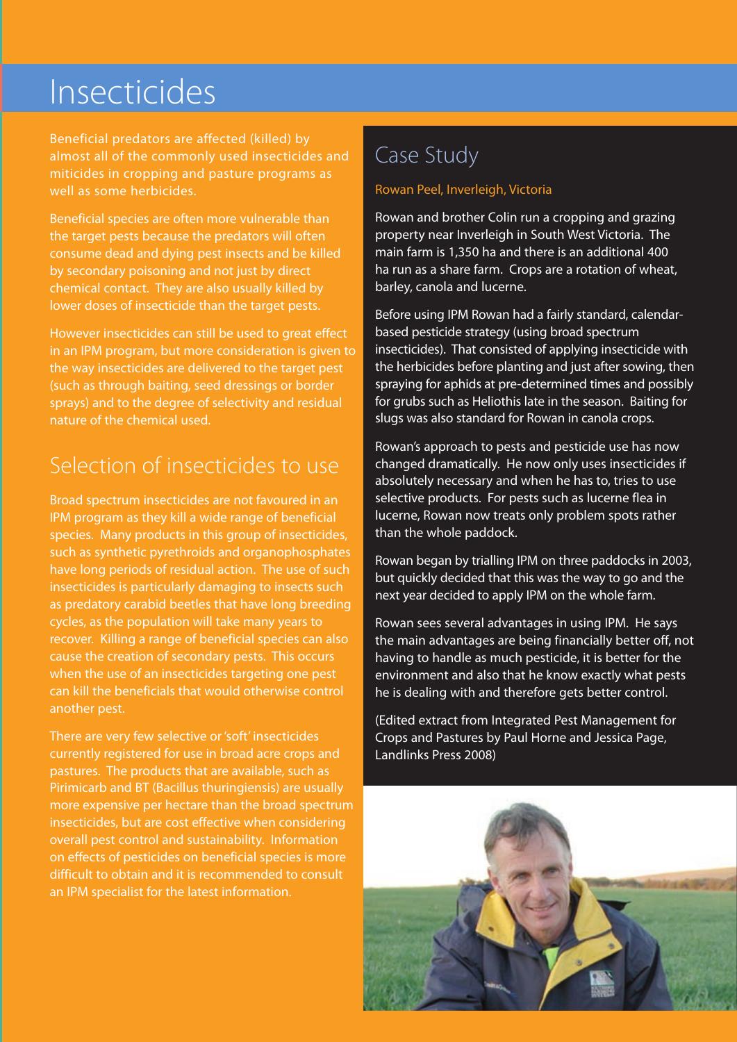## Insecticides

Beneficial predators are affected (killed) by almost all of the commonly used insecticides and miticides in cropping and pasture programs as well as some herbicides.

Beneficial species are often more vulnerable than the target pests because the predators will often consume dead and dying pest insects and be killed by secondary poisoning and not just by direct chemical contact. They are also usually killed by lower doses of insecticide than the target pests.

However insecticides can still be used to great effect in an IPM program, but more consideration is given to the way insecticides are delivered to the target pest (such as through baiting, seed dressings or border sprays) and to the degree of selectivity and residual nature of the chemical used.

## Selection of insecticides to use

Broad spectrum insecticides are not favoured in an IPM program as they kill a wide range of beneficial species. Many products in this group of insecticides, such as synthetic pyrethroids and organophosphates have long periods of residual action. The use of such insecticides is particularly damaging to insects such as predatory carabid beetles that have long breeding cycles, as the population will take many years to recover. Killing a range of beneficial species can also cause the creation of secondary pests. This occurs when the use of an insecticides targeting one pest can kill the beneficials that would otherwise control another pest.

There are very few selective or 'soft' insecticides currently registered for use in broad acre crops and pastures. The products that are available, such as Pirimicarb and BT (Bacillus thuringiensis) are usually more expensive per hectare than the broad spectrum insecticides, but are cost effective when considering overall pest control and sustainability. Information on effects of pesticides on beneficial species is more difficult to obtain and it is recommended to consult an IPM specialist for the latest information.

## Case Study

#### Rowan Peel, Inverleigh, Victoria

Rowan and brother Colin run a cropping and grazing property near Inverleigh in South West Victoria. The main farm is 1,350 ha and there is an additional 400 ha run as a share farm. Crops are a rotation of wheat, barley, canola and lucerne.

Before using IPM Rowan had a fairly standard, calendarbased pesticide strategy (using broad spectrum insecticides). That consisted of applying insecticide with the herbicides before planting and just after sowing, then spraying for aphids at pre-determined times and possibly for grubs such as Heliothis late in the season. Baiting for slugs was also standard for Rowan in canola crops.

Rowan's approach to pests and pesticide use has now changed dramatically. He now only uses insecticides if absolutely necessary and when he has to, tries to use selective products. For pests such as lucerne flea in lucerne, Rowan now treats only problem spots rather than the whole paddock.

Rowan began by trialling IPM on three paddocks in 2003, but quickly decided that this was the way to go and the next year decided to apply IPM on the whole farm.

Rowan sees several advantages in using IPM. He says the main advantages are being financially better off, not having to handle as much pesticide, it is better for the environment and also that he know exactly what pests he is dealing with and therefore gets better control.

(Edited extract from Integrated Pest Management for Crops and Pastures by Paul Horne and Jessica Page, Landlinks Press 2008)

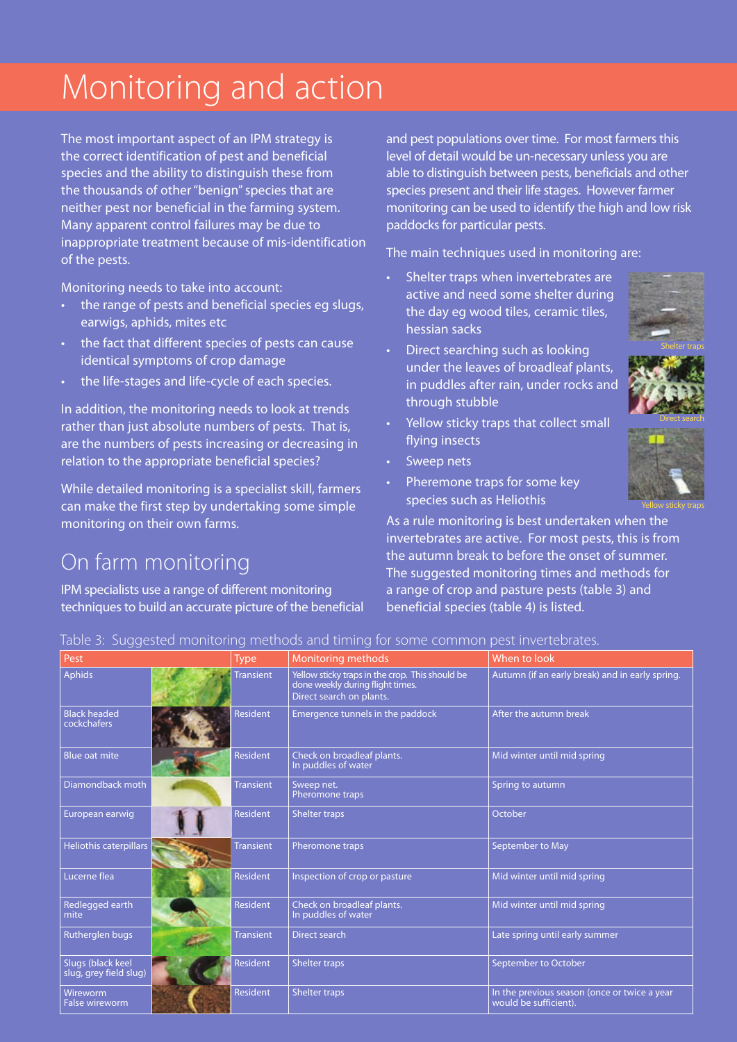## Monitoring and action

The most important aspect of an IPM strategy is the correct identification of pest and beneficial species and the ability to distinguish these from the thousands of other "benign" species that are neither pest nor beneficial in the farming system. Many apparent control failures may be due to inappropriate treatment because of mis-identification of the pests.

Monitoring needs to take into account:

- the range of pests and beneficial species eg slugs, earwigs, aphids, mites etc
- the fact that different species of pests can cause identical symptoms of crop damage
- the life-stages and life-cycle of each species.

In addition, the monitoring needs to look at trends rather than just absolute numbers of pests. That is, are the numbers of pests increasing or decreasing in relation to the appropriate beneficial species?

While detailed monitoring is a specialist skill, farmers can make the first step by undertaking some simple monitoring on their own farms.

### On farm monitoring

IPM specialists use a range of different monitoring techniques to build an accurate picture of the beneficial and pest populations over time. For most farmers this level of detail would be un-necessary unless you are able to distinguish between pests, beneficials and other species present and their life stages. However farmer monitoring can be used to identify the high and low risk paddocks for particular pests.

The main techniques used in monitoring are:

- Shelter traps when invertebrates are active and need some shelter during the day eg wood tiles, ceramic tiles, hessian sacks
- Direct searching such as looking under the leaves of broadleaf plants, in puddles after rain, under rocks and through stubble
- Yellow sticky traps that collect small flying insects
- Sweep nets
- Pheremone traps for some key species such as Heliothis

Yellow sticky traps

As a rule monitoring is best undertaken when the invertebrates are active. For most pests, this is from the autumn break to before the onset of summer. The suggested monitoring times and methods for a range of crop and pasture pests (table 3) and beneficial species (table 4) is listed.

| Table 3: Suggested monitoring methods and timing for some common pest invertebrates. |  |  |  |
|--------------------------------------------------------------------------------------|--|--|--|
|                                                                                      |  |  |  |

| ر ر                                         |                  |                                                                                                                 |                                                                       |
|---------------------------------------------|------------------|-----------------------------------------------------------------------------------------------------------------|-----------------------------------------------------------------------|
| Pest                                        | <b>Type</b>      | <b>Monitoring methods</b>                                                                                       | When to look                                                          |
| Aphids                                      | <b>Transient</b> | Yellow sticky traps in the crop. This should be<br>done weekly during flight times.<br>Direct search on plants. | Autumn (if an early break) and in early spring.                       |
| <b>Black headed</b><br>cockchafers          | <b>Resident</b>  | Emergence tunnels in the paddock                                                                                | After the autumn break                                                |
| Blue oat mite                               | <b>Resident</b>  | Check on broadleaf plants.<br>In puddles of water                                                               | Mid winter until mid spring                                           |
| Diamondback moth                            | <b>Transient</b> | Sweep net.<br>Pheromone traps                                                                                   | Spring to autumn                                                      |
| European earwig                             | <b>Resident</b>  | Shelter traps                                                                                                   | October                                                               |
| Heliothis caterpillars                      | <b>Transient</b> | Pheromone traps                                                                                                 | September to May                                                      |
| Lucerne flea                                | <b>Resident</b>  | Inspection of crop or pasture                                                                                   | Mid winter until mid spring                                           |
| Redlegged earth<br>mite                     | <b>Resident</b>  | Check on broadleaf plants.<br>In puddles of water                                                               | Mid winter until mid spring                                           |
| Rutherglen bugs                             | <b>Transient</b> | Direct search                                                                                                   | Late spring until early summer                                        |
| Slugs (black keel<br>slug, grey field slug) | <b>Resident</b>  | <b>Shelter traps</b>                                                                                            | September to October                                                  |
| Wireworm<br><b>False wireworm</b>           | <b>Resident</b>  | Shelter traps                                                                                                   | In the previous season (once or twice a year<br>would be sufficient). |

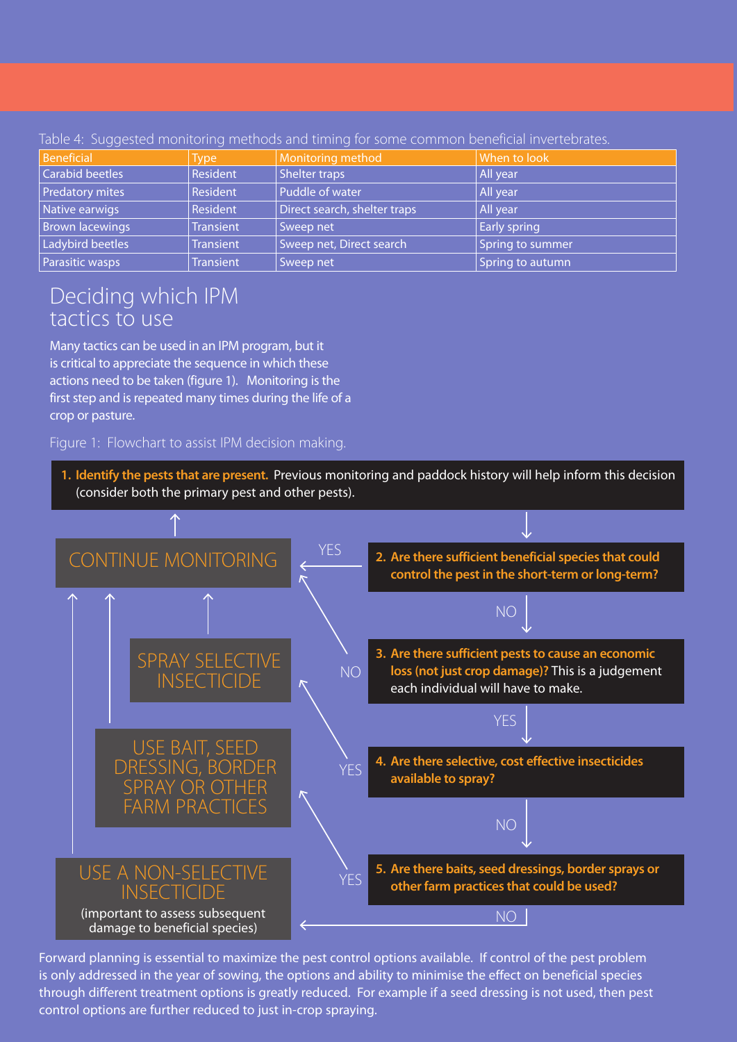| Beneficial             | <b>Type</b>      | Monitoring method            | When to look        |
|------------------------|------------------|------------------------------|---------------------|
| <b>Carabid beetles</b> | Resident         | <b>Shelter traps</b>         | All year            |
| Predatory mites        | Resident         | Puddle of water              | All year            |
| Native earwigs         | Resident         | Direct search, shelter traps | All year            |
| Brown lacewings        | <b>Transient</b> | Sweep net                    | <b>Early spring</b> |
| Ladybird beetles       | <b>Transient</b> | Sweep net, Direct search     | Spring to summer    |
| Parasitic wasps        | <b>Transient</b> | Sweep net                    | Spring to autumn    |

Table 4: Suggested monitoring methods and timing for some common beneficial invertebrate

### Deciding which IPM tactics to use

Many tactics can be used in an IPM program, but it is critical to appreciate the sequence in which these actions need to be taken (figure 1). Monitoring is the first step and is repeated many times during the life of a crop or pasture.

Figure 1: Flowchart to assist IPM decision making.



Forward planning is essential to maximize the pest control options available. If control of the pest problem is only addressed in the year of sowing, the options and ability to minimise the effect on beneficial species through different treatment options is greatly reduced. For example if a seed dressing is not used, then pest control options are further reduced to just in-crop spraying.